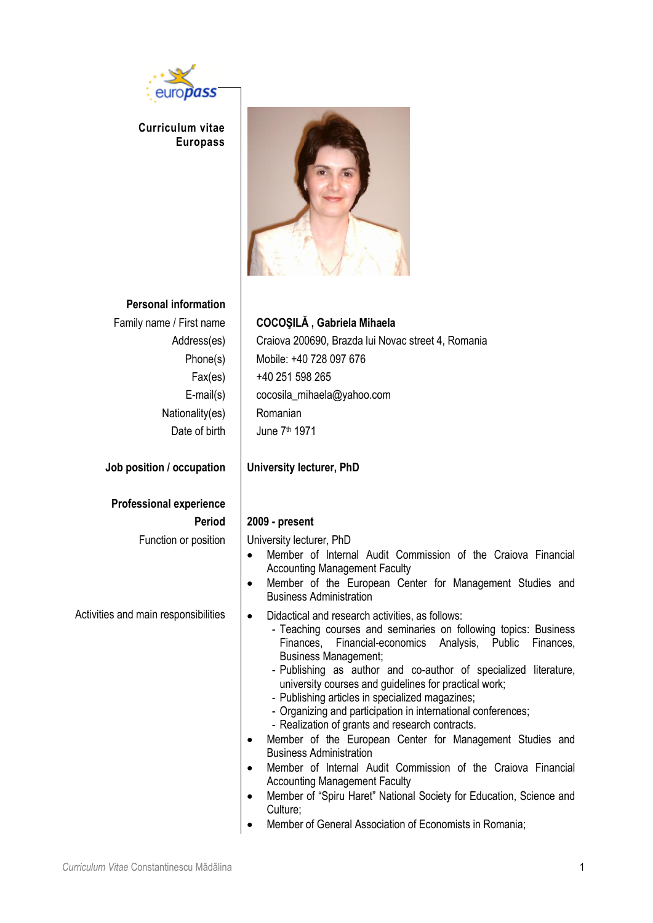

**Curriculum vitae Europass** 



#### **Personal information**

| Family name / First name |
|--------------------------|
| Address(es)              |
| Phone(s)                 |
| Fax(es)                  |
| $E$ -mail $(s)$          |
| Nationality(es)          |
| Date of birth            |

**Job position / occupation University lecturer, PhD**

# **Professional experience**

#### Family name / First name **COCOŞILĂ , Gabriela Mihaela**

Craiova 200690, Brazda lui Novac street 4, Romania Mobile: +40 728 097 676 +40 251 598 265 cocosila\_mihaela@yahoo.com Romanian June 7<sup>th</sup> 1971

#### **Period 2009 - present**

Function or position | University lecturer, PhD

- Member of Internal Audit Commission of the Craiova Financial Accounting Management Faculty
- Member of the European Center for Management Studies and Business Administration
- Activities and main responsibilities  $\bullet$  Didactical and research activities, as follows: - Teaching courses and seminaries on following topics: Business Finances, Financial-economics Analysis, Public Finances, Business Management;
	- Publishing as author and co-author of specialized literature, university courses and guidelines for practical work;
	- Publishing articles in specialized magazines;
	- Organizing and participation in international conferences;
	- Realization of grants and research contracts.
	- Member of the European Center for Management Studies and Business Administration
	- Member of Internal Audit Commission of the Craiova Financial Accounting Management Faculty
	- Member of "Spiru Haret" National Society for Education, Science and Culture;
	- Member of General Association of Economists in Romania;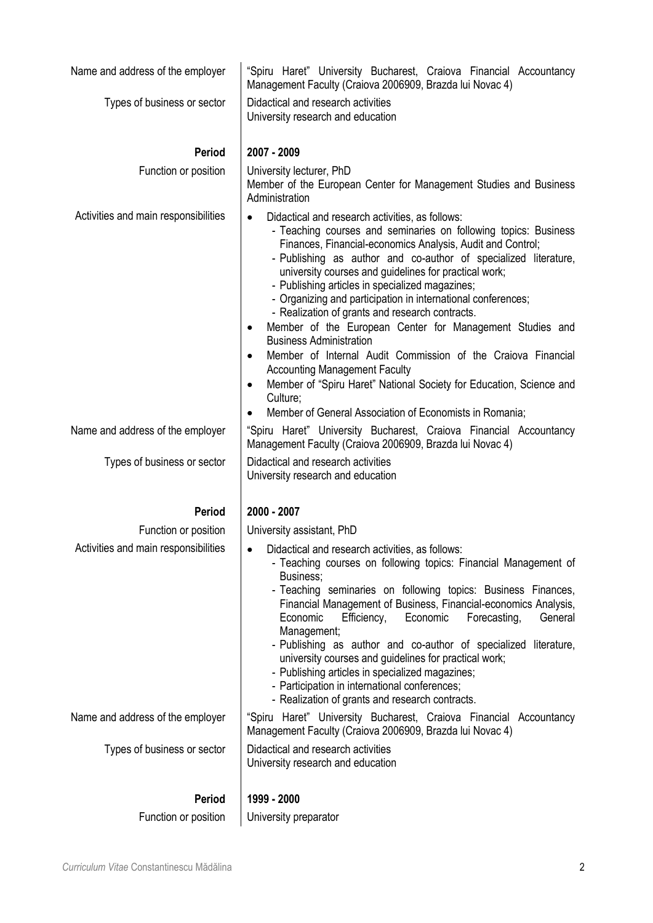| Name and address of the employer     | "Spiru Haret" University Bucharest, Craiova Financial Accountancy<br>Management Faculty (Craiova 2006909, Brazda lui Novac 4)                                                                                                                                                                                                                                                                                                                                                                                                                                                                                                                                                                                                                                                                                                                                         |  |  |  |  |  |
|--------------------------------------|-----------------------------------------------------------------------------------------------------------------------------------------------------------------------------------------------------------------------------------------------------------------------------------------------------------------------------------------------------------------------------------------------------------------------------------------------------------------------------------------------------------------------------------------------------------------------------------------------------------------------------------------------------------------------------------------------------------------------------------------------------------------------------------------------------------------------------------------------------------------------|--|--|--|--|--|
| Types of business or sector          | Didactical and research activities<br>University research and education                                                                                                                                                                                                                                                                                                                                                                                                                                                                                                                                                                                                                                                                                                                                                                                               |  |  |  |  |  |
| <b>Period</b>                        | 2007 - 2009                                                                                                                                                                                                                                                                                                                                                                                                                                                                                                                                                                                                                                                                                                                                                                                                                                                           |  |  |  |  |  |
| Function or position                 | University lecturer, PhD<br>Member of the European Center for Management Studies and Business<br>Administration                                                                                                                                                                                                                                                                                                                                                                                                                                                                                                                                                                                                                                                                                                                                                       |  |  |  |  |  |
| Activities and main responsibilities | Didactical and research activities, as follows:<br>- Teaching courses and seminaries on following topics: Business<br>Finances, Financial-economics Analysis, Audit and Control;<br>- Publishing as author and co-author of specialized literature,<br>university courses and guidelines for practical work;<br>- Publishing articles in specialized magazines;<br>- Organizing and participation in international conferences;<br>- Realization of grants and research contracts.<br>Member of the European Center for Management Studies and<br>٠<br><b>Business Administration</b><br>Member of Internal Audit Commission of the Craiova Financial<br>$\bullet$<br><b>Accounting Management Faculty</b><br>Member of "Spiru Haret" National Society for Education, Science and<br>$\bullet$<br>Culture;<br>Member of General Association of Economists in Romania; |  |  |  |  |  |
| Name and address of the employer     | "Spiru Haret" University Bucharest, Craiova Financial Accountancy<br>Management Faculty (Craiova 2006909, Brazda lui Novac 4)                                                                                                                                                                                                                                                                                                                                                                                                                                                                                                                                                                                                                                                                                                                                         |  |  |  |  |  |
| Types of business or sector          | Didactical and research activities<br>University research and education                                                                                                                                                                                                                                                                                                                                                                                                                                                                                                                                                                                                                                                                                                                                                                                               |  |  |  |  |  |
| <b>Period</b>                        | 2000 - 2007                                                                                                                                                                                                                                                                                                                                                                                                                                                                                                                                                                                                                                                                                                                                                                                                                                                           |  |  |  |  |  |
| Function or position                 | University assistant, PhD                                                                                                                                                                                                                                                                                                                                                                                                                                                                                                                                                                                                                                                                                                                                                                                                                                             |  |  |  |  |  |
| Activities and main responsibilities | Didactical and research activities, as follows:<br>- Teaching courses on following topics: Financial Management of<br>Business;<br>- Teaching seminaries on following topics: Business Finances,<br>Financial Management of Business, Financial-economics Analysis,<br>Economic<br>Efficiency,<br>Economic<br>Forecasting,<br>General<br>Management;<br>- Publishing as author and co-author of specialized literature,<br>university courses and guidelines for practical work;<br>- Publishing articles in specialized magazines;<br>- Participation in international conferences;<br>- Realization of grants and research contracts.                                                                                                                                                                                                                               |  |  |  |  |  |
| Name and address of the employer     | "Spiru Haret" University Bucharest, Craiova Financial Accountancy<br>Management Faculty (Craiova 2006909, Brazda lui Novac 4)                                                                                                                                                                                                                                                                                                                                                                                                                                                                                                                                                                                                                                                                                                                                         |  |  |  |  |  |
| Types of business or sector          | Didactical and research activities<br>University research and education                                                                                                                                                                                                                                                                                                                                                                                                                                                                                                                                                                                                                                                                                                                                                                                               |  |  |  |  |  |
| <b>Period</b>                        | 1999 - 2000                                                                                                                                                                                                                                                                                                                                                                                                                                                                                                                                                                                                                                                                                                                                                                                                                                                           |  |  |  |  |  |
| Function or position                 | University preparator                                                                                                                                                                                                                                                                                                                                                                                                                                                                                                                                                                                                                                                                                                                                                                                                                                                 |  |  |  |  |  |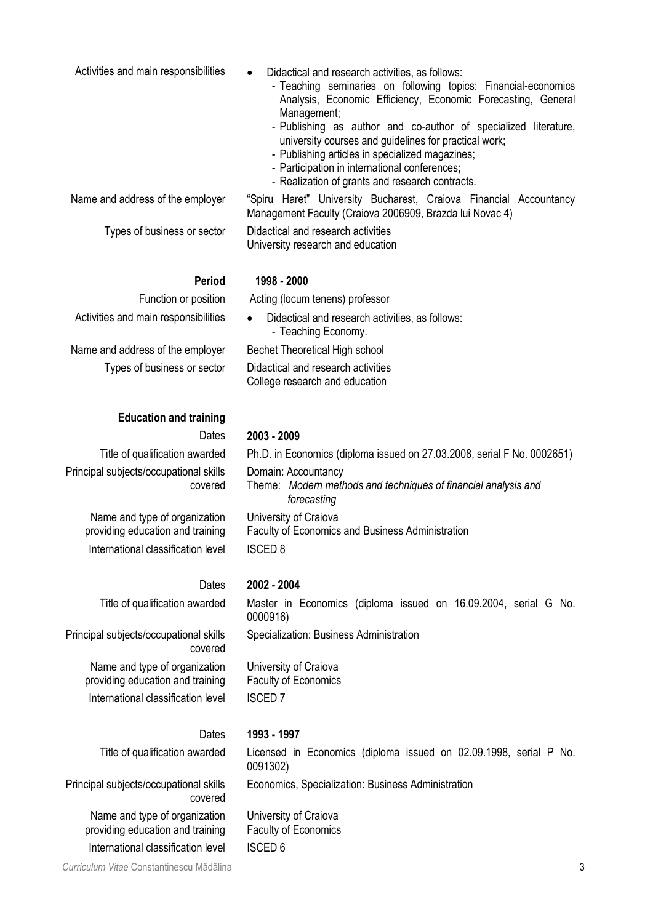| Activities and main responsibilities                              | Didactical and research activities, as follows:<br>$\bullet$<br>- Teaching seminaries on following topics: Financial-economics<br>Analysis, Economic Efficiency, Economic Forecasting, General<br>Management;<br>- Publishing as author and co-author of specialized literature,<br>university courses and guidelines for practical work;<br>- Publishing articles in specialized magazines;<br>- Participation in international conferences; |
|-------------------------------------------------------------------|-----------------------------------------------------------------------------------------------------------------------------------------------------------------------------------------------------------------------------------------------------------------------------------------------------------------------------------------------------------------------------------------------------------------------------------------------|
| Name and address of the employer                                  | - Realization of grants and research contracts.<br>"Spiru Haret" University Bucharest, Craiova Financial Accountancy<br>Management Faculty (Craiova 2006909, Brazda lui Novac 4)                                                                                                                                                                                                                                                              |
| Types of business or sector                                       | Didactical and research activities<br>University research and education                                                                                                                                                                                                                                                                                                                                                                       |
| <b>Period</b>                                                     | 1998 - 2000                                                                                                                                                                                                                                                                                                                                                                                                                                   |
| Function or position                                              | Acting (locum tenens) professor                                                                                                                                                                                                                                                                                                                                                                                                               |
| Activities and main responsibilities                              | Didactical and research activities, as follows:<br>- Teaching Economy.                                                                                                                                                                                                                                                                                                                                                                        |
| Name and address of the employer                                  | <b>Bechet Theoretical High school</b>                                                                                                                                                                                                                                                                                                                                                                                                         |
| Types of business or sector                                       | Didactical and research activities<br>College research and education                                                                                                                                                                                                                                                                                                                                                                          |
| <b>Education and training</b>                                     |                                                                                                                                                                                                                                                                                                                                                                                                                                               |
| Dates                                                             | 2003 - 2009                                                                                                                                                                                                                                                                                                                                                                                                                                   |
| Title of qualification awarded                                    | Ph.D. in Economics (diploma issued on 27.03.2008, serial F No. 0002651)                                                                                                                                                                                                                                                                                                                                                                       |
| Principal subjects/occupational skills<br>covered                 | Domain: Accountancy<br>Theme: Modern methods and techniques of financial analysis and<br>forecasting                                                                                                                                                                                                                                                                                                                                          |
| Name and type of organization<br>providing education and training | University of Craiova<br>Faculty of Economics and Business Administration                                                                                                                                                                                                                                                                                                                                                                     |
| International classification level                                | <b>ISCED 8</b>                                                                                                                                                                                                                                                                                                                                                                                                                                |
| Dates                                                             | 2002 - 2004                                                                                                                                                                                                                                                                                                                                                                                                                                   |
| Title of qualification awarded                                    | Master in Economics (diploma issued on 16.09.2004, serial G No.<br>0000916)                                                                                                                                                                                                                                                                                                                                                                   |
| Principal subjects/occupational skills<br>covered                 | Specialization: Business Administration                                                                                                                                                                                                                                                                                                                                                                                                       |
| Name and type of organization<br>providing education and training | University of Craiova<br>Faculty of Economics                                                                                                                                                                                                                                                                                                                                                                                                 |
| International classification level                                | <b>ISCED 7</b>                                                                                                                                                                                                                                                                                                                                                                                                                                |
| Dates                                                             | 1993 - 1997                                                                                                                                                                                                                                                                                                                                                                                                                                   |
| Title of qualification awarded                                    | Licensed in Economics (diploma issued on 02.09.1998, serial P No.<br>0091302)                                                                                                                                                                                                                                                                                                                                                                 |
| Principal subjects/occupational skills<br>covered                 | Economics, Specialization: Business Administration                                                                                                                                                                                                                                                                                                                                                                                            |
| Name and type of organization<br>providing education and training | University of Craiova<br><b>Faculty of Economics</b>                                                                                                                                                                                                                                                                                                                                                                                          |
| International classification level                                | <b>ISCED 6</b>                                                                                                                                                                                                                                                                                                                                                                                                                                |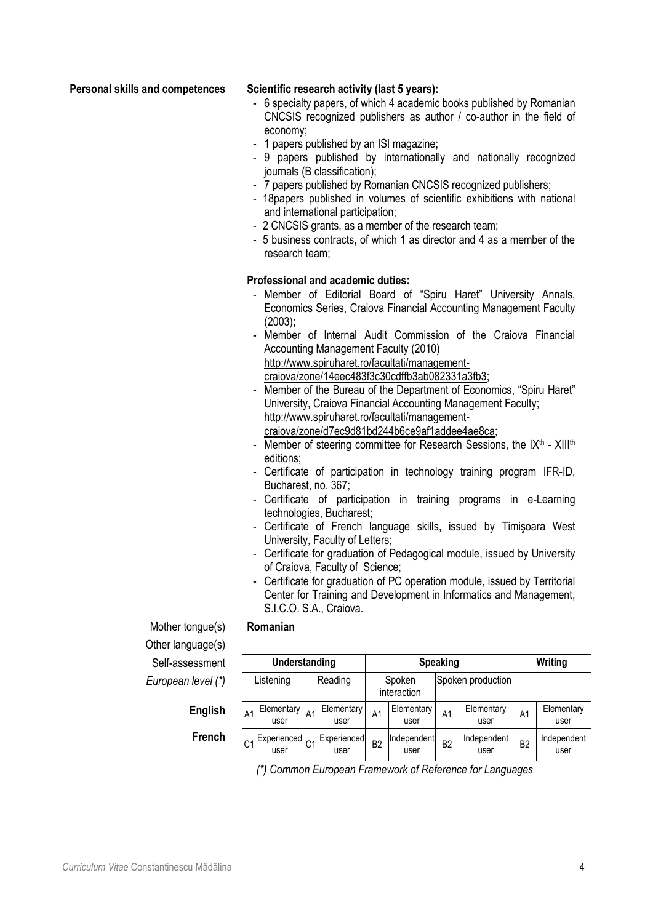| Personal skills and competences | $\blacksquare$ | Scientific research activity (last 5 years):<br>economy;<br>- 2 CNCSIS grants, as a member of the research team;<br>research team;<br>Professional and academic duties:<br>(2003);<br>editions;<br>Bucharest, no. 367; |                | 1 papers published by an ISI magazine;<br>journals (B classification);<br>and international participation;<br>Accounting Management Faculty (2010)<br>http://www.spiruharet.ro/facultati/management-<br>craiova/zone/14eec483f3c30cdffb3ab082331a3fb3;<br>http://www.spiruharet.ro/facultati/management-<br>craiova/zone/d7ec9d81bd244b6ce9af1addee4ae8ca;<br>technologies, Bucharest;<br>University, Faculty of Letters;<br>of Craiova, Faculty of Science;<br>S.I.C.O. S.A., Craiova. |                |                       |                 | - 6 specialty papers, of which 4 academic books published by Romanian<br>CNCSIS recognized publishers as author / co-author in the field of<br>- 9 papers published by internationally and nationally recognized<br>- 7 papers published by Romanian CNCSIS recognized publishers;<br>- 18 papers published in volumes of scientific exhibitions with national<br>- 5 business contracts, of which 1 as director and 4 as a member of the<br>- Member of Editorial Board of "Spiru Haret" University Annals,<br>Economics Series, Craiova Financial Accounting Management Faculty<br>- Member of Internal Audit Commission of the Craiova Financial<br>- Member of the Bureau of the Department of Economics, "Spiru Haret"<br>University, Craiova Financial Accounting Management Faculty;<br>- Member of steering committee for Research Sessions, the IX <sup>th</sup> - XIII <sup>th</sup><br>- Certificate of participation in technology training program IFR-ID,<br>- Certificate of participation in training programs in e-Learning<br>- Certificate of French language skills, issued by Timişoara West<br>- Certificate for graduation of Pedagogical module, issued by University<br>Certificate for graduation of PC operation module, issued by Territorial<br>Center for Training and Development in Informatics and Management, |                |                     |
|---------------------------------|----------------|------------------------------------------------------------------------------------------------------------------------------------------------------------------------------------------------------------------------|----------------|-----------------------------------------------------------------------------------------------------------------------------------------------------------------------------------------------------------------------------------------------------------------------------------------------------------------------------------------------------------------------------------------------------------------------------------------------------------------------------------------|----------------|-----------------------|-----------------|-------------------------------------------------------------------------------------------------------------------------------------------------------------------------------------------------------------------------------------------------------------------------------------------------------------------------------------------------------------------------------------------------------------------------------------------------------------------------------------------------------------------------------------------------------------------------------------------------------------------------------------------------------------------------------------------------------------------------------------------------------------------------------------------------------------------------------------------------------------------------------------------------------------------------------------------------------------------------------------------------------------------------------------------------------------------------------------------------------------------------------------------------------------------------------------------------------------------------------------------------------------------------------------------------------------------------------------------------|----------------|---------------------|
| Mother tongue(s)                |                | Romanian                                                                                                                                                                                                               |                |                                                                                                                                                                                                                                                                                                                                                                                                                                                                                         |                |                       |                 |                                                                                                                                                                                                                                                                                                                                                                                                                                                                                                                                                                                                                                                                                                                                                                                                                                                                                                                                                                                                                                                                                                                                                                                                                                                                                                                                                 |                |                     |
| Other language(s)               |                |                                                                                                                                                                                                                        |                |                                                                                                                                                                                                                                                                                                                                                                                                                                                                                         |                |                       |                 |                                                                                                                                                                                                                                                                                                                                                                                                                                                                                                                                                                                                                                                                                                                                                                                                                                                                                                                                                                                                                                                                                                                                                                                                                                                                                                                                                 |                |                     |
| Self-assessment                 |                | Understanding                                                                                                                                                                                                          |                |                                                                                                                                                                                                                                                                                                                                                                                                                                                                                         |                |                       | <b>Speaking</b> |                                                                                                                                                                                                                                                                                                                                                                                                                                                                                                                                                                                                                                                                                                                                                                                                                                                                                                                                                                                                                                                                                                                                                                                                                                                                                                                                                 |                | Writing             |
| European level (*)              |                | Listening                                                                                                                                                                                                              |                | Reading                                                                                                                                                                                                                                                                                                                                                                                                                                                                                 |                | Spoken<br>interaction |                 | Spoken production                                                                                                                                                                                                                                                                                                                                                                                                                                                                                                                                                                                                                                                                                                                                                                                                                                                                                                                                                                                                                                                                                                                                                                                                                                                                                                                               |                |                     |
| <b>English</b>                  | A <sub>1</sub> | Elementary<br>user                                                                                                                                                                                                     | A <sub>1</sub> | Elementary<br>user                                                                                                                                                                                                                                                                                                                                                                                                                                                                      | A <sub>1</sub> | Elementary<br>user    | A <sub>1</sub>  | Elementary<br>user                                                                                                                                                                                                                                                                                                                                                                                                                                                                                                                                                                                                                                                                                                                                                                                                                                                                                                                                                                                                                                                                                                                                                                                                                                                                                                                              | A1             | Elementary<br>user  |
| French                          | C <sub>1</sub> | Experienced<br>user                                                                                                                                                                                                    | C <sub>1</sub> | Experienced<br>user                                                                                                                                                                                                                                                                                                                                                                                                                                                                     | B <sub>2</sub> | Independent<br>user   | B <sub>2</sub>  | Independent<br>user                                                                                                                                                                                                                                                                                                                                                                                                                                                                                                                                                                                                                                                                                                                                                                                                                                                                                                                                                                                                                                                                                                                                                                                                                                                                                                                             | B <sub>2</sub> | Independent<br>user |

 $\overline{\phantom{a}}$ 

*(\*) Common European Framework of Reference for Languages*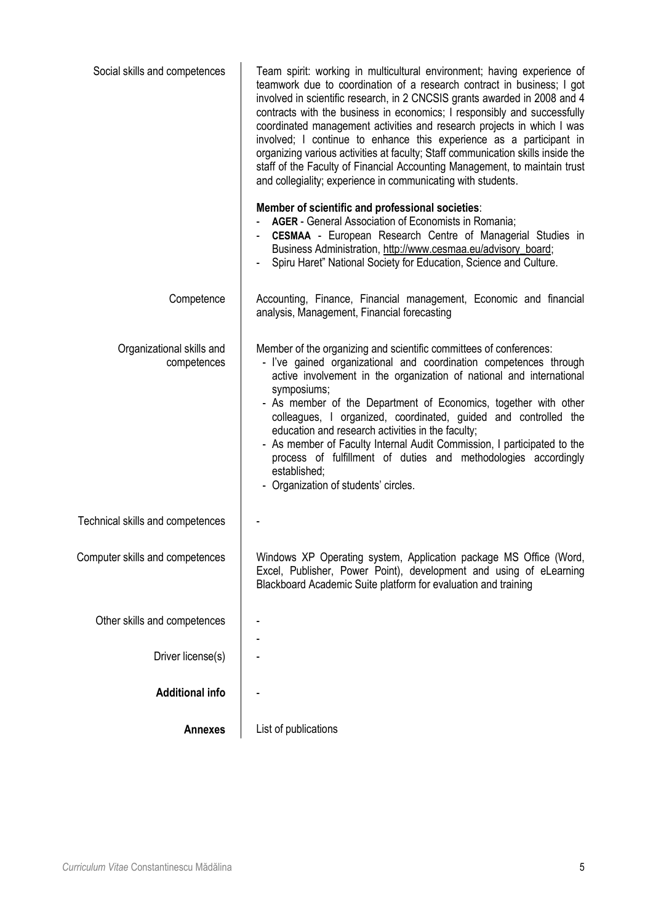| Social skills and competences            | Team spirit: working in multicultural environment; having experience of<br>teamwork due to coordination of a research contract in business; I got<br>involved in scientific research, in 2 CNCSIS grants awarded in 2008 and 4<br>contracts with the business in economics; I responsibly and successfully<br>coordinated management activities and research projects in which I was<br>involved; I continue to enhance this experience as a participant in<br>organizing various activities at faculty; Staff communication skills inside the<br>staff of the Faculty of Financial Accounting Management, to maintain trust<br>and collegiality; experience in communicating with students.<br>Member of scientific and professional societies:<br><b>AGER</b> - General Association of Economists in Romania;<br>CESMAA - European Research Centre of Managerial Studies in<br>Business Administration, http://www.cesmaa.eu/advisory_board;<br>Spiru Haret" National Society for Education, Science and Culture. |
|------------------------------------------|---------------------------------------------------------------------------------------------------------------------------------------------------------------------------------------------------------------------------------------------------------------------------------------------------------------------------------------------------------------------------------------------------------------------------------------------------------------------------------------------------------------------------------------------------------------------------------------------------------------------------------------------------------------------------------------------------------------------------------------------------------------------------------------------------------------------------------------------------------------------------------------------------------------------------------------------------------------------------------------------------------------------|
|                                          |                                                                                                                                                                                                                                                                                                                                                                                                                                                                                                                                                                                                                                                                                                                                                                                                                                                                                                                                                                                                                     |
| Competence                               | Accounting, Finance, Financial management, Economic and financial<br>analysis, Management, Financial forecasting                                                                                                                                                                                                                                                                                                                                                                                                                                                                                                                                                                                                                                                                                                                                                                                                                                                                                                    |
| Organizational skills and<br>competences | Member of the organizing and scientific committees of conferences:<br>- I've gained organizational and coordination competences through<br>active involvement in the organization of national and international<br>symposiums;<br>- As member of the Department of Economics, together with other<br>colleagues, I organized, coordinated, guided and controlled the<br>education and research activities in the faculty;<br>- As member of Faculty Internal Audit Commission, I participated to the<br>process of fulfillment of duties and methodologies accordingly<br>established;<br>- Organization of students' circles.                                                                                                                                                                                                                                                                                                                                                                                      |
| Technical skills and competences         |                                                                                                                                                                                                                                                                                                                                                                                                                                                                                                                                                                                                                                                                                                                                                                                                                                                                                                                                                                                                                     |
| Computer skills and competences          | Windows XP Operating system, Application package MS Office (Word,<br>Excel, Publisher, Power Point), development and using of eLearning<br>Blackboard Academic Suite platform for evaluation and training                                                                                                                                                                                                                                                                                                                                                                                                                                                                                                                                                                                                                                                                                                                                                                                                           |
| Other skills and competences             |                                                                                                                                                                                                                                                                                                                                                                                                                                                                                                                                                                                                                                                                                                                                                                                                                                                                                                                                                                                                                     |
| Driver license(s)                        |                                                                                                                                                                                                                                                                                                                                                                                                                                                                                                                                                                                                                                                                                                                                                                                                                                                                                                                                                                                                                     |
| <b>Additional info</b>                   |                                                                                                                                                                                                                                                                                                                                                                                                                                                                                                                                                                                                                                                                                                                                                                                                                                                                                                                                                                                                                     |
| <b>Annexes</b>                           | List of publications                                                                                                                                                                                                                                                                                                                                                                                                                                                                                                                                                                                                                                                                                                                                                                                                                                                                                                                                                                                                |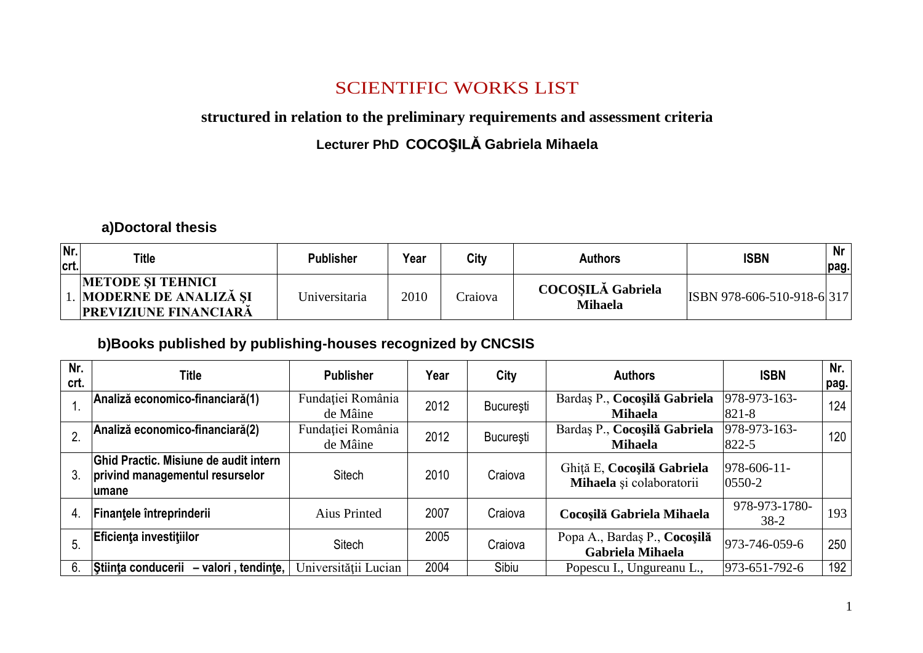## SCIENTIFIC WORKS LIST

#### **structured in relation to the preliminary requirements and assessment criteria**

#### **Lecturer PhD COCOŞILĂ Gabriela Mihaela**

**a)Doctoral thesis**

| Nr.<br>crt. | <b>Title</b>                                                                         | <b>Publisher</b> | Year | City    | <b>Authors</b>                             | <b>ISBN</b>                | Nr<br>pag. |
|-------------|--------------------------------------------------------------------------------------|------------------|------|---------|--------------------------------------------|----------------------------|------------|
|             | <b>METODE SI TEHNICI</b><br>1. MODERNE DE ANALIZĂ ȘI<br><b>PREVIZIUNE FINANCIARĂ</b> | Universitaria    | 2010 | Craiova | <b>COCOSILĂ Gabriela</b><br><b>Mihaela</b> | ISBN 978-606-510-918-6 317 |            |

#### **b)Books published by publishing-houses recognized by CNCSIS**

| Nr.<br>crt. | Title                                                                              | <b>Publisher</b>              | Year | City             | <b>Authors</b>                                         | <b>ISBN</b>                | Nr.<br>pag. |
|-------------|------------------------------------------------------------------------------------|-------------------------------|------|------------------|--------------------------------------------------------|----------------------------|-------------|
|             | Analiză economico-financiară(1)                                                    | Fundației România<br>de Mâine | 2012 | București        | Bardaș P., Cocoșilă Gabriela<br><b>Mihaela</b>         | 978-973-163-<br>821-8      | 124         |
|             | Analiză economico-financiară(2)                                                    | Fundației România<br>de Mâine | 2012 | <b>Bucuresti</b> | Bardaș P., Cocoșilă Gabriela<br><b>Mihaela</b>         | 978-973-163-<br>822-5      | 120         |
| 3.          | Ghid Practic. Misiune de audit intern<br>privind managementul resurselor<br>lumane | Sitech                        | 2010 | Craiova          | Ghiță E, Cocoșilă Gabriela<br>Mihaela și colaboratorii | $978 - 606 - 11$<br>0550-2 |             |
| 4.          | Finantele întreprinderii                                                           | <b>Aius Printed</b>           | 2007 | Craiova          | Cocoșilă Gabriela Mihaela                              | 978-973-1780-<br>$38-2$    | 193         |
| 5.          | Eficienta investitiilor                                                            | Sitech                        | 2005 | Craiova          | Popa A., Bardaș P., Cocoșilă<br>Gabriela Mihaela       | 973-746-059-6              | 250         |
| 6.          | Stiinta conducerii<br>- valori, tendinte,                                          | Universității Lucian          | 2004 | Sibiu            | Popescu I., Ungureanu L.,                              | 973-651-792-6              | 192         |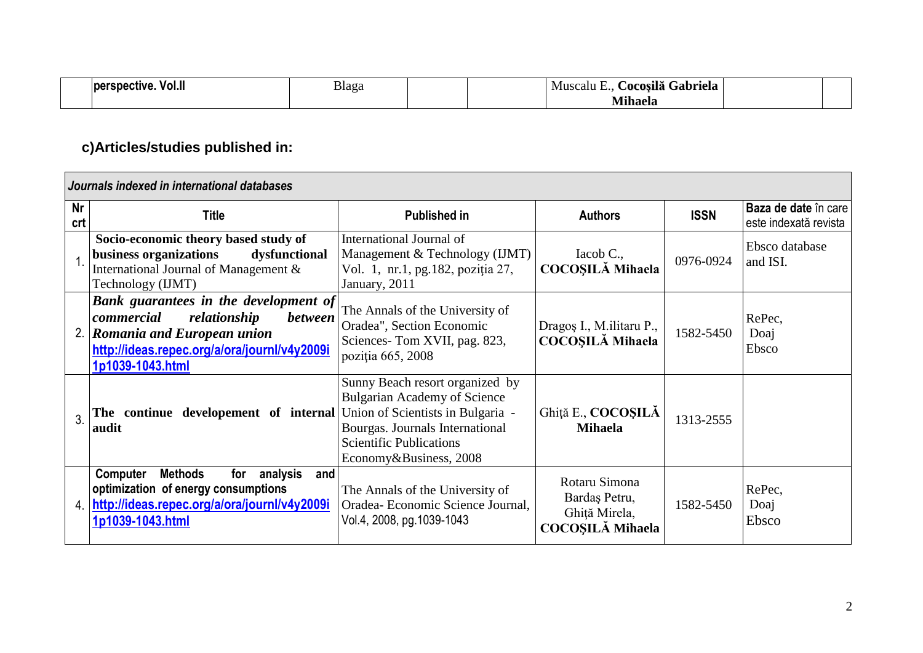| VOI.I.<br>rspective.<br>ve | Blaga | .<br>Gabriela<br>Acosilă<br>– MP<br>scalu |  |
|----------------------------|-------|-------------------------------------------|--|
|                            |       | $\overline{a}$<br>Mnhaela                 |  |

# **c)Articles/studies published in:**

|                  | Journals indexed in international databases                                                                                                                                                |                                                                                                                                                                       |                                                                            |             |                                               |
|------------------|--------------------------------------------------------------------------------------------------------------------------------------------------------------------------------------------|-----------------------------------------------------------------------------------------------------------------------------------------------------------------------|----------------------------------------------------------------------------|-------------|-----------------------------------------------|
| <b>Nr</b><br>crt | <b>Title</b>                                                                                                                                                                               | <b>Published in</b>                                                                                                                                                   |                                                                            | <b>ISSN</b> | Baza de date în care<br>este indexată revista |
|                  | Socio-economic theory based study of<br>business organizations<br>dysfunctional<br>International Journal of Management &<br>Technology (IJMT)                                              | International Journal of<br>Management & Technology (IJMT)<br>Vol. 1, nr.1, pg.182, poziția 27,<br>January, 2011                                                      | Iacob C.,<br><b>COCOSILĂ Mihaela</b>                                       | 0976-0924   | Ebsco database<br>and ISI.                    |
|                  | Bank guarantees in the development of<br>commercial<br>relationship<br><i>between</i><br>2. Romania and European union<br>http://ideas.repec.org/a/ora/journl/v4y2009i<br>1p1039-1043.html | The Annals of the University of<br>Oradea", Section Economic<br>Sciences-Tom XVII, pag. 823,<br>poziția 665, 2008                                                     | Dragos I., M. ilitaru P.,<br><b>COCOSILĂ Mihaela</b>                       | 1582-5450   | RePec,<br>Doaj<br>Ebsco                       |
| $\overline{3}$   | The continue developement of internal Union of Scientists in Bulgaria -<br>audit                                                                                                           | Sunny Beach resort organized by<br><b>Bulgarian Academy of Science</b><br>Bourgas. Journals International<br><b>Scientific Publications</b><br>Economy&Business, 2008 | Ghiță E., COCOȘILĂ<br><b>Mihaela</b>                                       | 1313-2555   |                                               |
| 4.               | <b>Methods</b><br>analysis<br>and<br>Computer<br>for<br>optimization of energy consumptions<br>http://ideas.repec.org/a/ora/journl/v4y2009i<br>1p1039-1043.html                            | The Annals of the University of<br>Oradea- Economic Science Journal.<br>Vol.4, 2008, pg.1039-1043                                                                     | Rotaru Simona<br>Bardaş Petru,<br>Ghiță Mirela,<br><b>COCOSILĂ Mihaela</b> | 1582-5450   | RePec,<br>Doaj<br>Ebsco                       |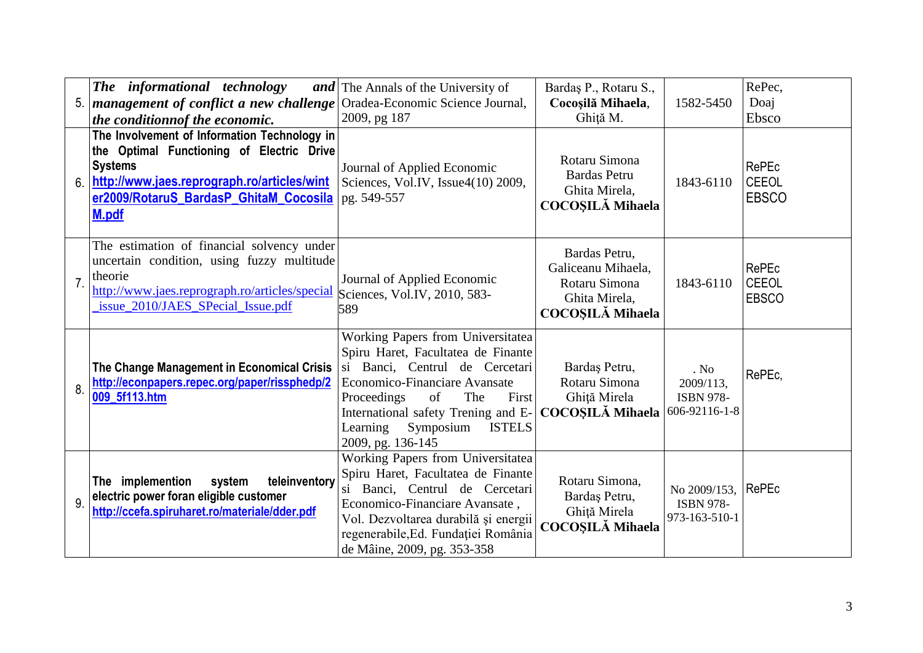| 5.             | The informational technology<br>  management of conflict a new challenge  <br>the conditionnof the economic.                                                                                                  | <b>and</b> The Annals of the University of<br>Oradea-Economic Science Journal,<br>2009, pg 187                                                                                                                                                                                        | Bardaş P., Rotaru S.,<br>Cocoșilă Mihaela,<br>Ghită M.                                           | 1582-5450                                              | RePec,<br>Doaj<br>Ebsco                      |
|----------------|---------------------------------------------------------------------------------------------------------------------------------------------------------------------------------------------------------------|---------------------------------------------------------------------------------------------------------------------------------------------------------------------------------------------------------------------------------------------------------------------------------------|--------------------------------------------------------------------------------------------------|--------------------------------------------------------|----------------------------------------------|
| 6.             | The Involvement of Information Technology in<br>the Optimal Functioning of Electric Drive<br><b>Systems</b><br>http://www.jaes.reprograph.ro/articles/wint<br>er2009/RotaruS BardasP GhitaM Cocosila<br>M.pdf | Journal of Applied Economic<br>Sciences, Vol.IV, Issue4(10) 2009,<br>pg. 549-557                                                                                                                                                                                                      | Rotaru Simona<br><b>Bardas Petru</b><br>Ghita Mirela,<br><b>COCOSILĂ Mihaela</b>                 | 1843-6110                                              | <b>RePEc</b><br><b>CEEOL</b><br><b>EBSCO</b> |
| $\overline{7}$ | The estimation of financial solvency under<br>uncertain condition, using fuzzy multitude<br>theorie<br>http://www.jaes.reprograph.ro/articles/special<br>issue_2010/JAES_SPecial_Issue.pdf                    | Journal of Applied Economic<br>Sciences, Vol.IV, 2010, 583-<br>589                                                                                                                                                                                                                    | Bardas Petru,<br>Galiceanu Mihaela,<br>Rotaru Simona<br>Ghita Mirela,<br><b>COCOSILĂ Mihaela</b> | 1843-6110                                              | RePEc<br><b>CEEOL</b><br><b>EBSCO</b>        |
| 8.             | The Change Management in Economical Crisis<br>http://econpapers.repec.org/paper/rissphedp/2<br>009 5f113.htm                                                                                                  | Working Papers from Universitatea<br>Spiru Haret, Facultatea de Finante<br>si Banci, Centrul de Cercetari<br>Economico-Financiare Avansate<br>of<br>The<br>First<br>Proceedings<br>International safety Trening and E-<br>Symposium<br><b>ISTELS</b><br>Learning<br>2009, pg. 136-145 | Bardaş Petru,<br>Rotaru Simona<br>Ghiță Mirela<br><b>COCOSILĂ Mihaela</b>                        | . No<br>2009/113,<br><b>ISBN 978-</b><br>606-92116-1-8 | RePEc,                                       |
| 9              | teleinventory<br>The implemention<br>system<br>electric power foran eligible customer<br>http://ccefa.spiruharet.ro/materiale/dder.pdf                                                                        | Working Papers from Universitatea<br>Spiru Haret, Facultatea de Finante<br>si Banci, Centrul de Cercetari<br>Economico-Financiare Avansate,<br>Vol. Dezvoltarea durabilă și energii<br>regenerabile, Ed. Fundației România<br>de Mâine, 2009, pg. 353-358                             | Rotaru Simona,<br>Bardaş Petru,<br>Ghiță Mirela<br>COCOȘILĂ Mihaela                              | No 2009/153,<br><b>ISBN 978-</b><br>973-163-510-1      | <b>RePEc</b>                                 |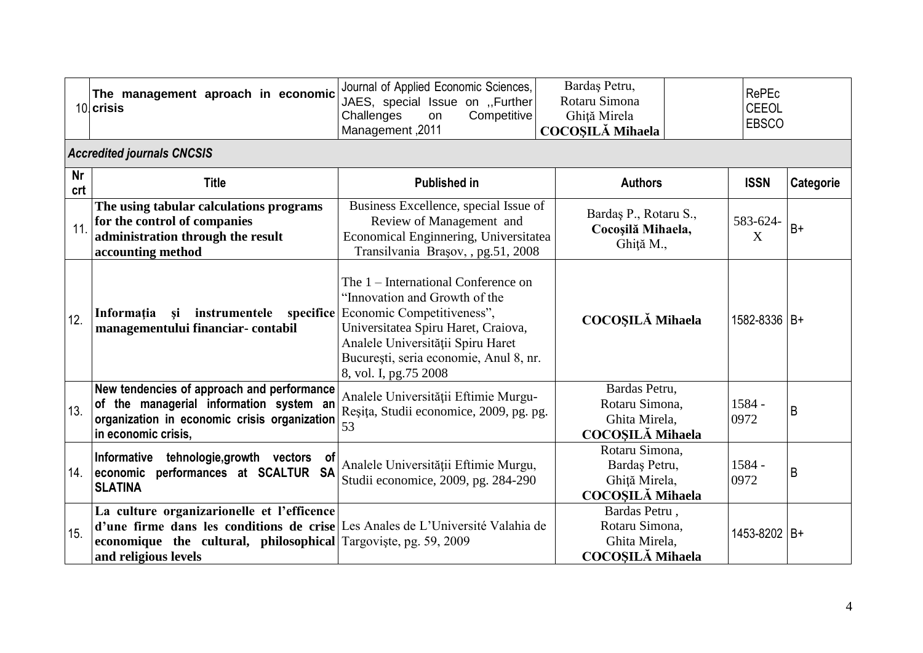|                  | The management aproach in economic<br>10 crisis                                                                                                                                                                         | Journal of Applied Economic Sciences,<br>JAES, special Issue on ,Further<br>Competitive<br>Challenges<br>on<br>Management, 2011                                                                                                                   | Bardaş Petru,<br>Rotaru Simona<br>Ghiță Mirela<br><b>COCOȘILĂ Mihaela</b>   | <b>RePEc</b><br><b>CEEOL</b><br><b>EBSCO</b> |           |
|------------------|-------------------------------------------------------------------------------------------------------------------------------------------------------------------------------------------------------------------------|---------------------------------------------------------------------------------------------------------------------------------------------------------------------------------------------------------------------------------------------------|-----------------------------------------------------------------------------|----------------------------------------------|-----------|
|                  | <b>Accredited journals CNCSIS</b>                                                                                                                                                                                       |                                                                                                                                                                                                                                                   |                                                                             |                                              |           |
| <b>Nr</b><br>crt | <b>Title</b>                                                                                                                                                                                                            | <b>Published in</b>                                                                                                                                                                                                                               | <b>Authors</b>                                                              | <b>ISSN</b>                                  | Categorie |
| 11               | The using tabular calculations programs<br>for the control of companies<br>administration through the result<br>accounting method                                                                                       | Business Excellence, special Issue of<br>Review of Management and<br>Economical Enginnering, Universitatea<br>Transilvania Brașov, , pg.51, 2008                                                                                                  | Bardaş P., Rotaru S.,<br>Cocoșilă Mihaela,<br>Ghiță M.,                     | 583-624-<br>X                                | $B+$      |
| 12.              | instrumentele specifice<br>Informația<br><b>si</b><br>managementului financiar-contabil                                                                                                                                 | The 1 – International Conference on<br>"Innovation and Growth of the<br>Economic Competitiveness",<br>Universitatea Spiru Haret, Craiova,<br>Analele Universității Spiru Haret<br>București, seria economie, Anul 8, nr.<br>8, vol. I, pg.75 2008 | <b>COCOSILĂ Mihaela</b>                                                     | 1582-8336 B+                                 |           |
| 13.              | New tendencies of approach and performance<br>of the managerial information system an<br>organization in economic crisis organization<br>in economic crisis,                                                            | Analele Universității Eftimie Murgu-<br>Reșița, Studii economice, 2009, pg. pg.<br>53                                                                                                                                                             | Bardas Petru,<br>Rotaru Simona,<br>Ghita Mirela,<br><b>COCOSILĂ Mihaela</b> | 1584 -<br>0972                               | B         |
| 14.              | Informative<br>tehnologie, growth vectors of<br>economic performances at SCALTUR SA<br><b>SLATINA</b>                                                                                                                   | Analele Universității Eftimie Murgu,<br>Studii economice, 2009, pg. 284-290                                                                                                                                                                       | Rotaru Simona,<br>Bardaş Petru,<br>Ghiță Mirela,<br><b>COCOSILĂ Mihaela</b> | 1584 -<br>0972                               | B         |
| 15.              | La culture organizarionelle et l'efficence<br>d'une firme dans les conditions de crise Les Anales de L'Université Valahia de<br>economique the cultural, philosophical Targoviste, pg. 59, 2009<br>and religious levels |                                                                                                                                                                                                                                                   | Bardas Petru,<br>Rotaru Simona,<br>Ghita Mirela,<br><b>COCOȘILĂ Mihaela</b> | 1453-8202 B+                                 |           |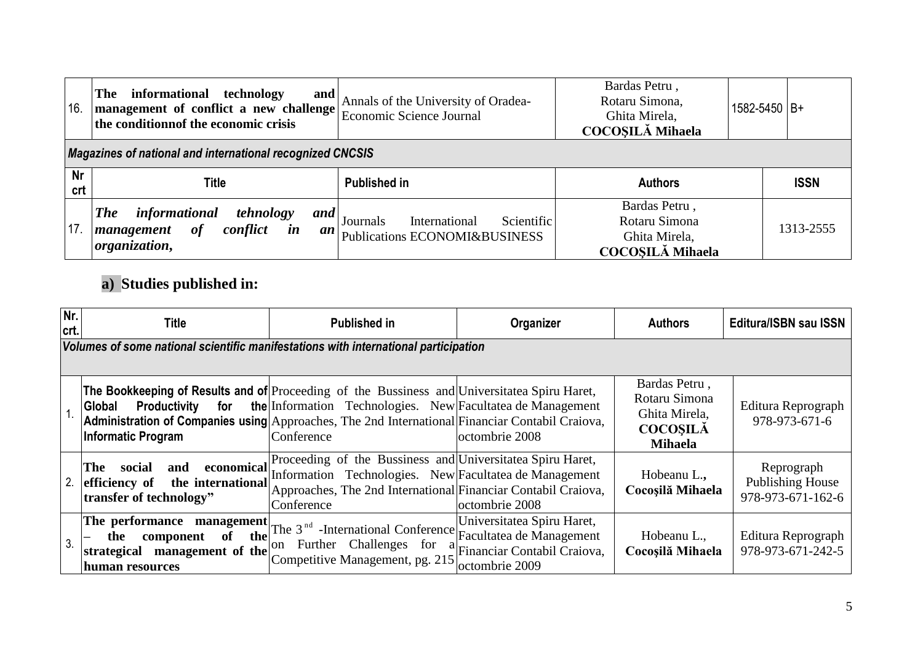| 16               | informational technology<br><b>The</b><br>and<br>management of conflict a new challenge<br>the conditionnof the economic crisis | Annals of the University of Oradea-<br>Economic Science Journal          | Bardas Petru,<br>Rotaru Simona,<br>Ghita Mirela,<br><b>COCOSILĂ Mihaela</b> | 1582-5450 B+ |  |  |  |  |
|------------------|---------------------------------------------------------------------------------------------------------------------------------|--------------------------------------------------------------------------|-----------------------------------------------------------------------------|--------------|--|--|--|--|
|                  | Magazines of national and international recognized CNCSIS                                                                       |                                                                          |                                                                             |              |  |  |  |  |
| <b>Nr</b><br>crt | Title                                                                                                                           | <b>Published in</b>                                                      | <b>Authors</b>                                                              | <b>ISSN</b>  |  |  |  |  |
| 17.              | informational<br>tehnology<br><b>The</b><br>and<br>of<br>conflict<br>$\boldsymbol{i}$ n<br>management<br>an<br>organization,    | International<br>Scientific<br>Journals<br>Publications ECONOMI&BUSINESS | Bardas Petru,<br>Rotaru Simona<br>Ghita Mirela,<br><b>COCOSILĂ Mihaela</b>  | 1313-2555    |  |  |  |  |

# **a) Studies published in:**

| Nr.<br>crt. | Title                                                                                                                                                      | <b>Published in</b>                                                                                                                                                                                 | Organizer                                                                                 | <b>Authors</b>                                                                       | <b>Editura/ISBN sau ISSN</b>                        |  |  |
|-------------|------------------------------------------------------------------------------------------------------------------------------------------------------------|-----------------------------------------------------------------------------------------------------------------------------------------------------------------------------------------------------|-------------------------------------------------------------------------------------------|--------------------------------------------------------------------------------------|-----------------------------------------------------|--|--|
|             | Volumes of some national scientific manifestations with international participation                                                                        |                                                                                                                                                                                                     |                                                                                           |                                                                                      |                                                     |  |  |
|             | <b>The Bookkeeping of Results and of</b> Proceeding of the Bussiness and Universitatea Spiru Haret,<br><b>Productivity</b><br>Global<br>Informatic Program | <b>for</b> the Information Technologies. New Facultatea de Management<br>Administration of Companies using Approaches, The 2nd International Financiar Contabil Craiova,<br>Conference              | loctombrie 2008                                                                           | Bardas Petru,<br>Rotaru Simona<br>Ghita Mirela,<br><b>COCOSILĂ</b><br><b>Mihaela</b> | Editura Reprograph<br>978-973-671-6                 |  |  |
|             | economical<br>and<br>social<br>'The<br>the international<br>2. efficiency of<br>transfer of technology"                                                    | Proceeding of the Bussiness and Universitatea Spiru Haret,<br>Information Technologies. New Facultatea de Management<br>Approaches, The 2nd International Financiar Contabil Craiova,<br>Conference | octombrie 2008                                                                            | Hobeanu L.,<br>Cocoșilă Mihaela                                                      | Reprograph<br>Publishing House<br>978-973-671-162-6 |  |  |
| 3.          | The performance<br>management<br><b>of</b><br>the<br>component<br>the<br>management of the<br>strategical<br>human resources                               | The 3 <sup>nd</sup> -International Conference Facultatea de Management<br>on Further Challenges for<br>Competitive Management, pg. 215                                                              | Universitatea Spiru Haret,<br>$\frac{a}{c}$ Financiar Contabil Craiova,<br>octombrie 2009 | Hobeanu L.,<br>Cocoșilă Mihaela                                                      | Editura Reprograph<br>978-973-671-242-5             |  |  |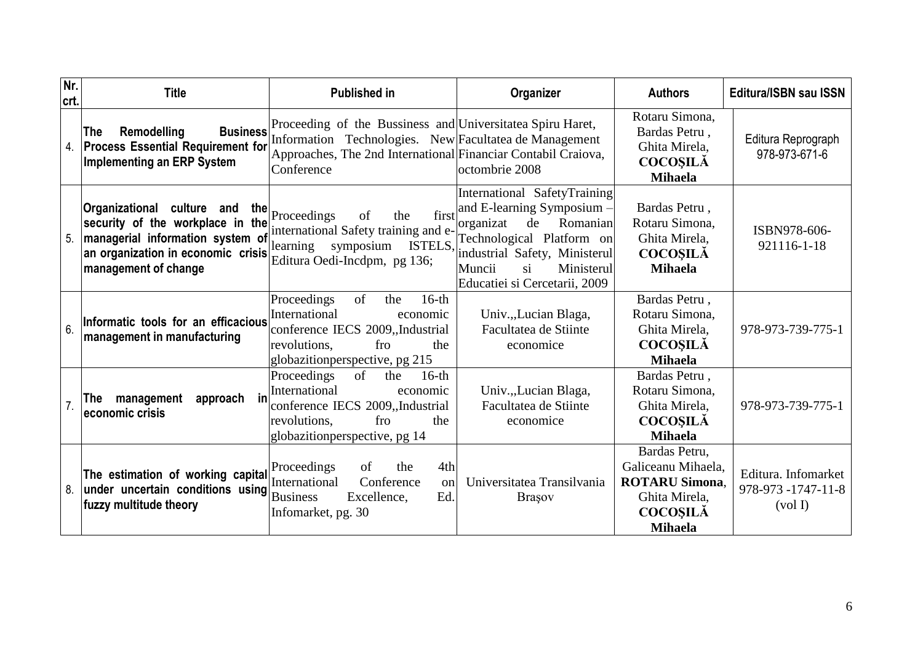| Nr.<br>crt. | <b>Title</b>                                                                                                                                                            | <b>Published in</b>                                                                                                                                                                                                 | Organizer                                                                                                                                                                                                                     | <b>Authors</b>                                                                                                     | <b>Editura/ISBN sau ISSN</b>                         |
|-------------|-------------------------------------------------------------------------------------------------------------------------------------------------------------------------|---------------------------------------------------------------------------------------------------------------------------------------------------------------------------------------------------------------------|-------------------------------------------------------------------------------------------------------------------------------------------------------------------------------------------------------------------------------|--------------------------------------------------------------------------------------------------------------------|------------------------------------------------------|
| 4.          | <b>The</b><br>Remodelling<br><b>Process Essential Requirement for</b><br><b>Implementing an ERP System</b>                                                              | <b>Business</b> Proceeding of the Bussiness and Universitatea Spiru Haret,<br>Information Technologies. New Facultatea de Management<br>Approaches, The 2nd International Financiar Contabil Craiova,<br>Conference | octombrie 2008                                                                                                                                                                                                                | Rotaru Simona,<br>Bardas Petru,<br>Ghita Mirela,<br><b>COCOȘILĂ</b><br><b>Mihaela</b>                              | Editura Reprograph<br>978-973-671-6                  |
| 5.          | Organizational culture and<br>the<br>security of the workplace in the<br>managerial information system of<br>an organization in economic crisis<br>management of change | Proceedings<br>the<br>first<br>of<br>international Safety training and e-<br>symposium ISTELS,<br>learning<br>Editura Oedi-Incdpm, pg 136;                                                                          | <b>International SafetyTraining</b><br>and E-learning Symposium -<br>de<br>Romanian<br>organizat<br>Technological Platform on<br>industrial Safety, Ministerul<br>Muncii<br>Ministerul<br>si<br>Educatiei si Cercetarii, 2009 | Bardas Petru,<br>Rotaru Simona,<br>Ghita Mirela,<br><b>COCOSILĂ</b><br><b>Mihaela</b>                              | ISBN978-606-<br>921116-1-18                          |
| 6.          | Informatic tools for an efficacious<br>management in manufacturing                                                                                                      | Proceedings<br>of<br>$16-th$<br>the<br>International<br>economic<br>conference IECS 2009, Industrial<br>revolutions,<br>fro<br>the<br>globazition perspective, pg 215                                               | Univ., Lucian Blaga,<br>Facultatea de Stiinte<br>economice                                                                                                                                                                    | Bardas Petru,<br>Rotaru Simona,<br>Ghita Mirela,<br><b>COCOȘILĂ</b><br><b>Mihaela</b>                              | 978-973-739-775-1                                    |
|             | $\mathsf{in}$<br>approach<br>management<br>The<br>economic crisis                                                                                                       | Proceedings<br>of<br>$16-th$<br>the<br>International<br>economic<br>conference IECS 2009, Industrial<br>revolutions.<br>fro<br>the<br>globazition perspective, pg 14                                                | Univ., Lucian Blaga,<br>Facultatea de Stiinte<br>economice                                                                                                                                                                    | Bardas Petru,<br>Rotaru Simona,<br>Ghita Mirela,<br><b>COCOSILĂ</b><br><b>Mihaela</b>                              | 978-973-739-775-1                                    |
| 8.          | The estimation of working capital<br>under uncertain conditions using<br>fuzzy multitude theory                                                                         | Proceedings<br>4th<br><sub>of</sub><br>the<br>International<br>Conference<br>$\alpha$<br><b>Business</b><br>Excellence,<br>Ed.<br>Infomarket, pg. 30                                                                | Universitatea Transilvania<br><b>Brasov</b>                                                                                                                                                                                   | Bardas Petru,<br>Galiceanu Mihaela,<br><b>ROTARU Simona.</b><br>Ghita Mirela,<br><b>COCOSILĂ</b><br><b>Mihaela</b> | Editura. Infomarket<br>978-973 -1747-11-8<br>(vol I) |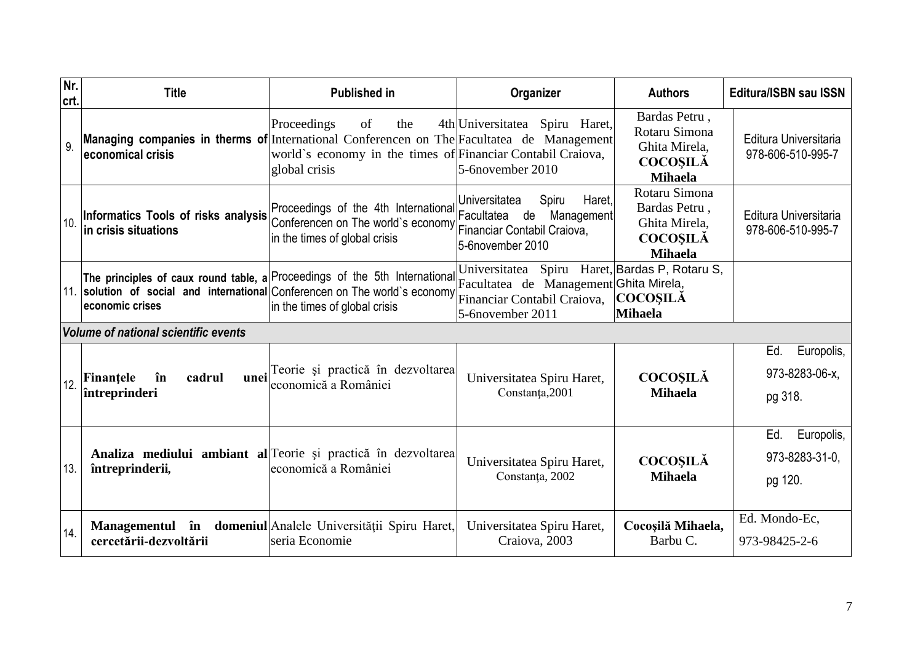| Nr.<br>Icrt. | <b>Title</b>                                                | <b>Published in</b>                                                                                                                                                                                                               | Organizer                                                                                            | <b>Authors</b>                                                                       | <b>Editura/ISBN sau ISSN</b>                   |
|--------------|-------------------------------------------------------------|-----------------------------------------------------------------------------------------------------------------------------------------------------------------------------------------------------------------------------------|------------------------------------------------------------------------------------------------------|--------------------------------------------------------------------------------------|------------------------------------------------|
| 9            | economical crisis                                           | Proceedings<br>of<br>the<br>Managing companies in therms of International Conferencen on The Facultatea de Management<br>world's economy in the times of Financiar Contabil Craiova,<br>global crisis                             | 4th Universitatea Spiru Haret,<br>$5$ -6november 2010                                                | Bardas Petru,<br>Rotaru Simona<br>Ghita Mirela,<br><b>COCOSILÀ</b><br><b>Mihaela</b> | Editura Universitaria<br>978-606-510-995-7     |
|              | Informatics Tools of risks analysis<br>in crisis situations | Proceedings of the 4th International<br>Conferencen on The world's economy   www.web.contabil Craiova,<br>in the times of global crisis                                                                                           | Haret,<br>Spiru<br>Universitatea<br>Facultatea de<br>Management<br>5-6november 2010                  | Rotaru Simona<br>Bardas Petru,<br>Ghita Mirela,<br><b>COCOSILĂ</b><br><b>Mihaela</b> | Editura Universitaria<br>978-606-510-995-7     |
|              | economic crises                                             | The principles of caux round table, a Proceedings of the 5th International Facultatea de Management Ghita Mirela,<br>11. solution of social and international Conferencen on The world's economy<br>in the times of global crisis | Universitatea Spiru Haret, Bardas P, Rotaru S,<br>Financiar Contabil Craiova,<br>$5-6$ november 2011 | <b>COCOSILĂ</b><br><b>Mihaela</b>                                                    |                                                |
|              | Volume of national scientific events                        |                                                                                                                                                                                                                                   |                                                                                                      |                                                                                      |                                                |
| 12.          | Finantele<br>în<br>cadrul<br>întreprinderi                  | unei Teorie și practică în dezvoltarea<br>leconomică a României                                                                                                                                                                   | Universitatea Spiru Haret,<br>Constanța, 2001                                                        | <b>COCOSILĂ</b><br><b>Mihaela</b>                                                    | Ed.<br>Europolis,<br>973-8283-06-x.<br>pg 318. |
| 13.          | întreprinderii,                                             | Analiza mediului ambiant al Teorie și practică în dezvoltarea<br>economică a României                                                                                                                                             | Universitatea Spiru Haret,<br>Constanța, 2002                                                        | <b>COCOSILĂ</b><br><b>Mihaela</b>                                                    | Ed.<br>Europolis,<br>973-8283-31-0,<br>pg 120. |
| 14.          | cercetării-dezvoltării                                      | Managementul în domeniul Analele Universității Spiru Haret,<br>seria Economie                                                                                                                                                     | Universitatea Spiru Haret,<br>Craiova, 2003                                                          | Cocoșilă Mihaela,<br>Barbu C.                                                        | Ed. Mondo-Ec,<br>973-98425-2-6                 |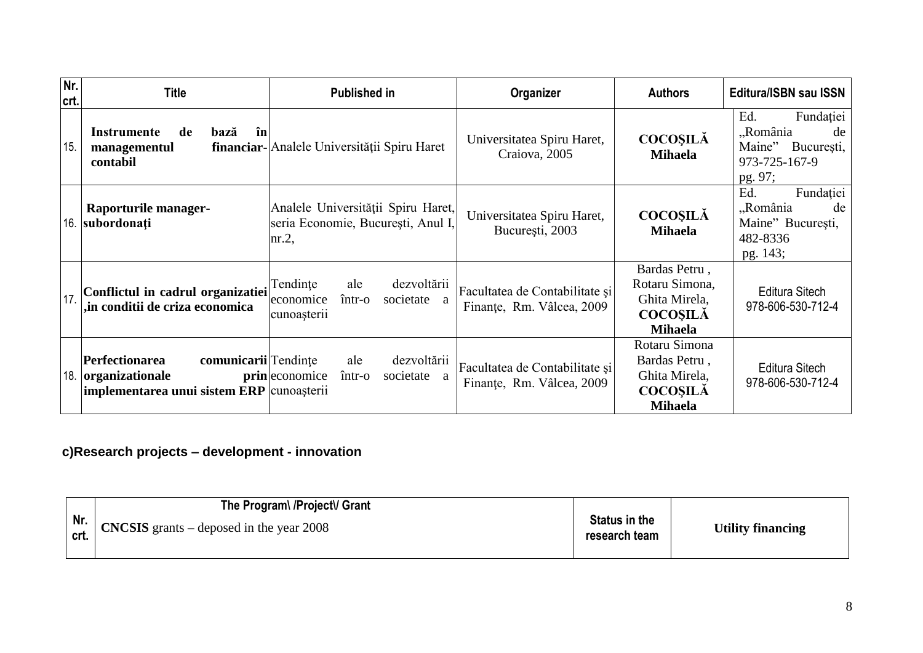| Nr.<br>crt. | <b>Title</b>                                                                                           | <b>Published in</b>                                                                               | Organizer                                                   | <b>Authors</b>                                                                        | <b>Editura/ISBN sau ISSN</b>                                                           |
|-------------|--------------------------------------------------------------------------------------------------------|---------------------------------------------------------------------------------------------------|-------------------------------------------------------------|---------------------------------------------------------------------------------------|----------------------------------------------------------------------------------------|
| 15.         | în<br>Instrumente<br>de<br>bază<br>managementul<br>contabil                                            | financiar-<br>Analele Universității Spiru Haret                                                   | Universitatea Spiru Haret,<br>Craiova, 2005                 | <b>COCOSILĂ</b><br><b>Mihaela</b>                                                     | Ed.<br>Fundației<br>"România<br>de<br>Maine"<br>București,<br>973-725-167-9<br>pg. 97; |
| 16.         | Raporturile manager-<br>subordonați                                                                    | Analele Universității Spiru Haret,<br>seria Economie, București, Anul I,<br>$\ln 2$ ,             | Universitatea Spiru Haret,<br>București, 2003               | <b>COCOSILĂ</b><br><b>Mihaela</b>                                                     | Fundației<br>Ed.<br>"România<br>de<br>Maine" București,<br>482-8336<br>pg. 143;        |
| 17          | Conflictul in cadrul organizatiei<br>,in conditii de criza economica                                   | dezvoltării<br>Tendințe<br>ale<br>$\hat{\imath}$ ntr-o<br>economice<br>societate a<br>cunoașterii | Facultatea de Contabilitate și<br>Finanțe, Rm. Vâlcea, 2009 | Bardas Petru,<br>Rotaru Simona,<br>Ghita Mirela,<br><b>COCOSILĂ</b><br><b>Mihaela</b> | Editura Sitech<br>978-606-530-712-4                                                    |
| 18.         | comunicarii Tendințe<br>Perfectionarea<br>organizationale<br>implementarea unui sistem ERP cunoașterii | dezvoltării<br>ale<br><b>prin</b> economice<br>$\hat{m}$ tr-o<br>societate a                      | Facultatea de Contabilitate și<br>Finanțe, Rm. Vâlcea, 2009 | Rotaru Simona<br>Bardas Petru,<br>Ghita Mirela,<br><b>COCOSILĂ</b><br><b>Mihaela</b>  | Editura Sitech<br>978-606-530-712-4                                                    |

## **c)Research projects – development - innovation**

| The Program\/Project\/ Grant                                                                                                 |                                       |                          |
|------------------------------------------------------------------------------------------------------------------------------|---------------------------------------|--------------------------|
| $\begin{array}{ c c c c c c } \hline \text{Nr.} & \text{CNCSIS grants} - \text{deposed in the year 2008} \hline \end{array}$ | <b>Status in the</b><br>research team | <b>Utility financing</b> |